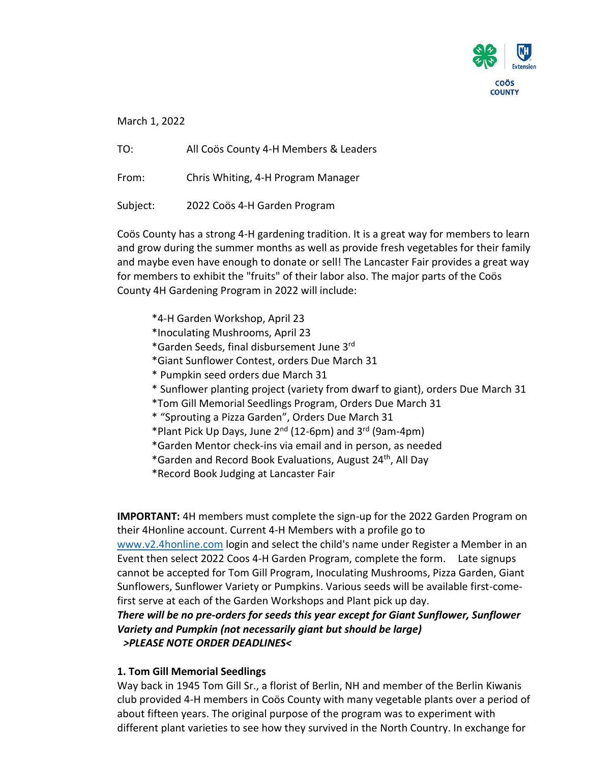

March 1, 2022

TO: All Coös County 4-H Members & Leaders

From: Chris Whiting, 4-H Program Manager

Subject: 2022 Coös 4-H Garden Program

Coös County has a strong 4-H gardening tradition. It is a great way for members to learn and grow during the summer months as well as provide fresh vegetables for their family and maybe even have enough to donate or sell! The Lancaster Fair provides a great way for members to exhibit the "fruits" of their labor also. The major parts of the Coös County 4H Gardening Program in 2022 will include:

- \*4-H Garden Workshop, April 23
- \*Inoculating Mushrooms, April 23
- \*Garden Seeds, final disbursement June 3rd
- \*Giant Sunflower Contest, orders Due March 31
- \* Pumpkin seed orders due March 31
- \* Sunflower planting project (variety from dwarf to giant), orders Due March 31
- \*Tom Gill Memorial Seedlings Program, Orders Due March 31
- \* "Sprouting a Pizza Garden", Orders Due March 31
- \*Plant Pick Up Days, June 2nd (12-6pm) and 3rd (9am-4pm)
- \*Garden Mentor check-ins via email and in person, as needed
- \*Garden and Record Book Evaluations, August 24th, All Day
- \*Record Book Judging at Lancaster Fair

**IMPORTANT:** 4H members must complete the sign-up for the 2022 Garden Program on their 4Honline account. Current 4-H Members with a profile go to [www.v2.4honline.com](http://www.v2.4honline.com/) login and select the child's name under Register a Member in an Event then select 2022 Coos 4-H Garden Program, complete the form. Late signups cannot be accepted for Tom Gill Program, Inoculating Mushrooms, Pizza Garden, Giant Sunflowers, Sunflower Variety or Pumpkins. Various seeds will be available first-comefirst serve at each of the Garden Workshops and Plant pick up day. *There will be no pre-orders for seeds this year except for Giant Sunflower, Sunflower Variety and Pumpkin (not necessarily giant but should be large)*

## *>PLEASE NOTE ORDER DEADLINES<*

# **1. Tom Gill Memorial Seedlings**

Way back in 1945 Tom Gill Sr., a florist of Berlin, NH and member of the Berlin Kiwanis club provided 4-H members in Coös County with many vegetable plants over a period of about fifteen years. The original purpose of the program was to experiment with different plant varieties to see how they survived in the North Country. In exchange for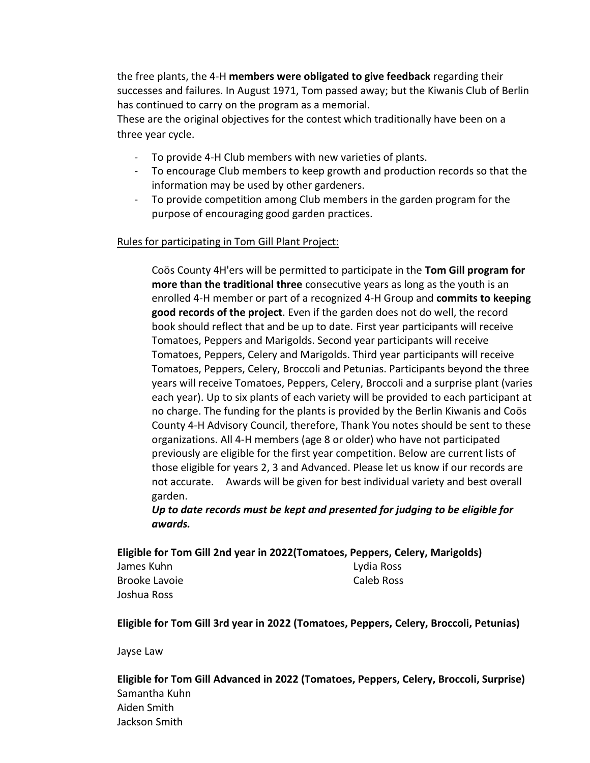the free plants, the 4-H **members were obligated to give feedback** regarding their successes and failures. In August 1971, Tom passed away; but the Kiwanis Club of Berlin has continued to carry on the program as a memorial.

These are the original objectives for the contest which traditionally have been on a three year cycle.

- To provide 4-H Club members with new varieties of plants.
- To encourage Club members to keep growth and production records so that the information may be used by other gardeners.
- To provide competition among Club members in the garden program for the purpose of encouraging good garden practices.

## Rules for participating in Tom Gill Plant Project:

Coös County 4H'ers will be permitted to participate in the **Tom Gill program for more than the traditional three** consecutive years as long as the youth is an enrolled 4-H member or part of a recognized 4-H Group and **commits to keeping good records of the project**. Even if the garden does not do well, the record book should reflect that and be up to date. First year participants will receive Tomatoes, Peppers and Marigolds. Second year participants will receive Tomatoes, Peppers, Celery and Marigolds. Third year participants will receive Tomatoes, Peppers, Celery, Broccoli and Petunias. Participants beyond the three years will receive Tomatoes, Peppers, Celery, Broccoli and a surprise plant (varies each year). Up to six plants of each variety will be provided to each participant at no charge. The funding for the plants is provided by the Berlin Kiwanis and Coös County 4-H Advisory Council, therefore, Thank You notes should be sent to these organizations. All 4-H members (age 8 or older) who have not participated previously are eligible for the first year competition. Below are current lists of those eligible for years 2, 3 and Advanced. Please let us know if our records are not accurate. Awards will be given for best individual variety and best overall garden.

*Up to date records must be kept and presented for judging to be eligible for awards.*

**Eligible for Tom Gill 2nd year in 2022(Tomatoes, Peppers, Celery, Marigolds)**

James Kuhn Brooke Lavoie Joshua Ross

Lydia Ross Caleb Ross

**Eligible for Tom Gill 3rd year in 2022 (Tomatoes, Peppers, Celery, Broccoli, Petunias)**

Jayse Law

**Eligible for Tom Gill Advanced in 2022 (Tomatoes, Peppers, Celery, Broccoli, Surprise)** Samantha Kuhn Aiden Smith Jackson Smith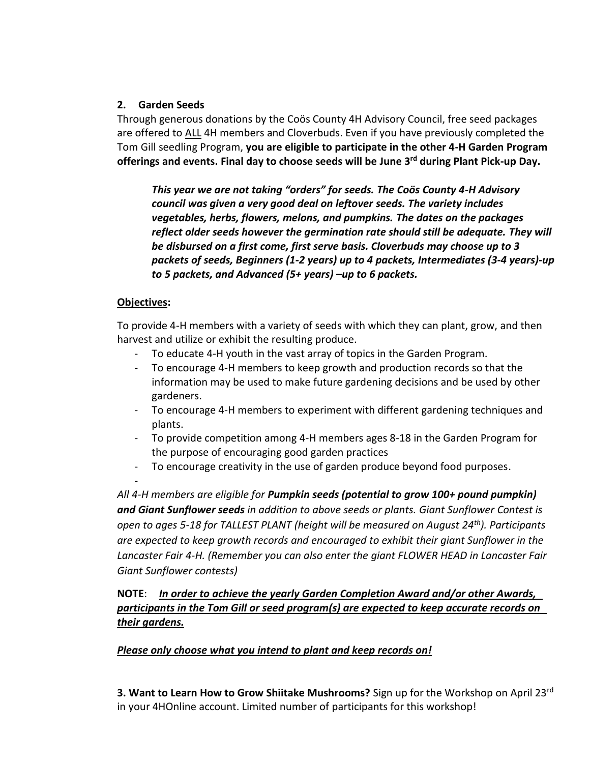## **2. Garden Seeds**

Through generous donations by the Coös County 4H Advisory Council, free seed packages are offered to ALL 4H members and Cloverbuds. Even if you have previously completed the Tom Gill seedling Program, **you are eligible to participate in the other 4-H Garden Program offerings and events. Final day to choose seeds will be June 3rd during Plant Pick-up Day.**

*This year we are not taking "orders" for seeds. The Coös County 4-H Advisory council was given a very good deal on leftover seeds. The variety includes vegetables, herbs, flowers, melons, and pumpkins. The dates on the packages reflect older seeds however the germination rate should still be adequate. They will be disbursed on a first come, first serve basis. Cloverbuds may choose up to 3 packets of seeds, Beginners (1-2 years) up to 4 packets, Intermediates (3-4 years)-up to 5 packets, and Advanced (5+ years) –up to 6 packets.*

# **Objectives:**

To provide 4-H members with a variety of seeds with which they can plant, grow, and then harvest and utilize or exhibit the resulting produce.

- To educate 4-H youth in the vast array of topics in the Garden Program.
- To encourage 4-H members to keep growth and production records so that the information may be used to make future gardening decisions and be used by other gardeners.
- To encourage 4-H members to experiment with different gardening techniques and plants.
- To provide competition among 4-H members ages 8-18 in the Garden Program for the purpose of encouraging good garden practices
- To encourage creativity in the use of garden produce beyond food purposes. -

*All 4-H members are eligible for Pumpkin seeds (potential to grow 100+ pound pumpkin) and Giant Sunflower seeds in addition to above seeds or plants. Giant Sunflower Contest is open to ages 5-18 for TALLEST PLANT (height will be measured on August 24th). Participants are expected to keep growth records and encouraged to exhibit their giant Sunflower in the Lancaster Fair 4-H. (Remember you can also enter the giant FLOWER HEAD in Lancaster Fair Giant Sunflower contests)* 

**NOTE**: *In order to achieve the yearly Garden Completion Award and/or other Awards, participants in the Tom Gill or seed program(s) are expected to keep accurate records on their gardens.*

# *Please only choose what you intend to plant and keep records on!*

**3. Want to Learn How to Grow Shiitake Mushrooms?** Sign up for the Workshop on April 23rd in your 4HOnline account. Limited number of participants for this workshop!